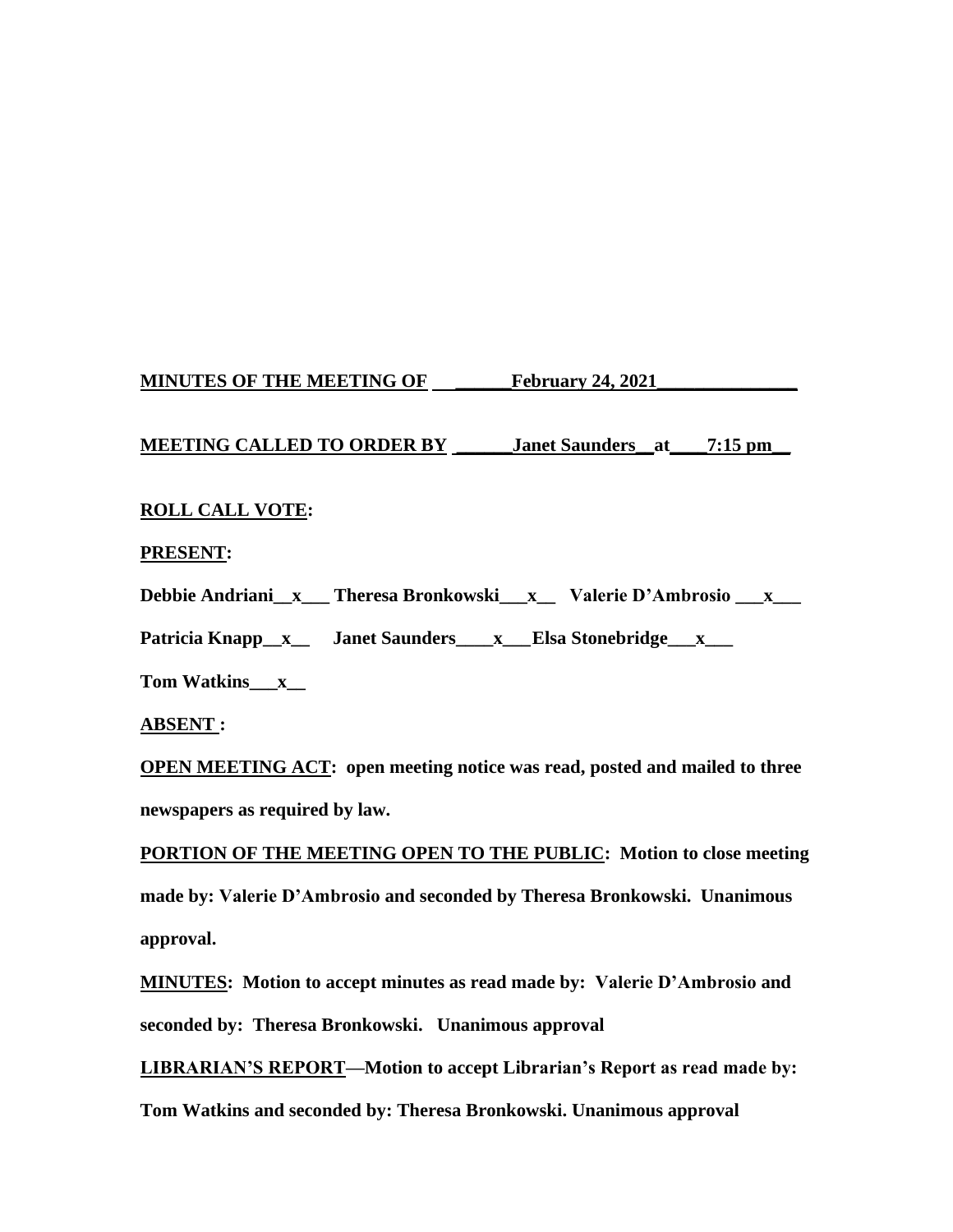# **MINUTES OF THE MEETING OF \_\_\_\_\_\_February 24, 2021\_\_\_\_\_\_\_\_\_\_\_\_\_\_\_**

## **MEETING CALLED TO ORDER BY \_\_\_\_\_\_Janet Saunders\_\_at\_\_\_\_7:15 pm\_\_**

## **ROLL CALL VOTE:**

### **PRESENT:**

**Debbie Andriani\_\_x\_\_\_ Theresa Bronkowski\_\_\_x\_\_ Valerie D'Ambrosio \_\_\_x\_\_\_** 

Patricia Knapp\_x\_\_ Janet Saunders\_\_\_x\_\_Elsa Stonebridge\_\_x\_\_\_

**Tom Watkins\_\_\_x\_\_**

**ABSENT :**

**OPEN MEETING ACT: open meeting notice was read, posted and mailed to three newspapers as required by law.**

**PORTION OF THE MEETING OPEN TO THE PUBLIC: Motion to close meeting made by: Valerie D'Ambrosio and seconded by Theresa Bronkowski. Unanimous approval.**

**MINUTES: Motion to accept minutes as read made by: Valerie D'Ambrosio and seconded by: Theresa Bronkowski. Unanimous approval**

**LIBRARIAN'S REPORT—Motion to accept Librarian's Report as read made by:**

**Tom Watkins and seconded by: Theresa Bronkowski. Unanimous approval**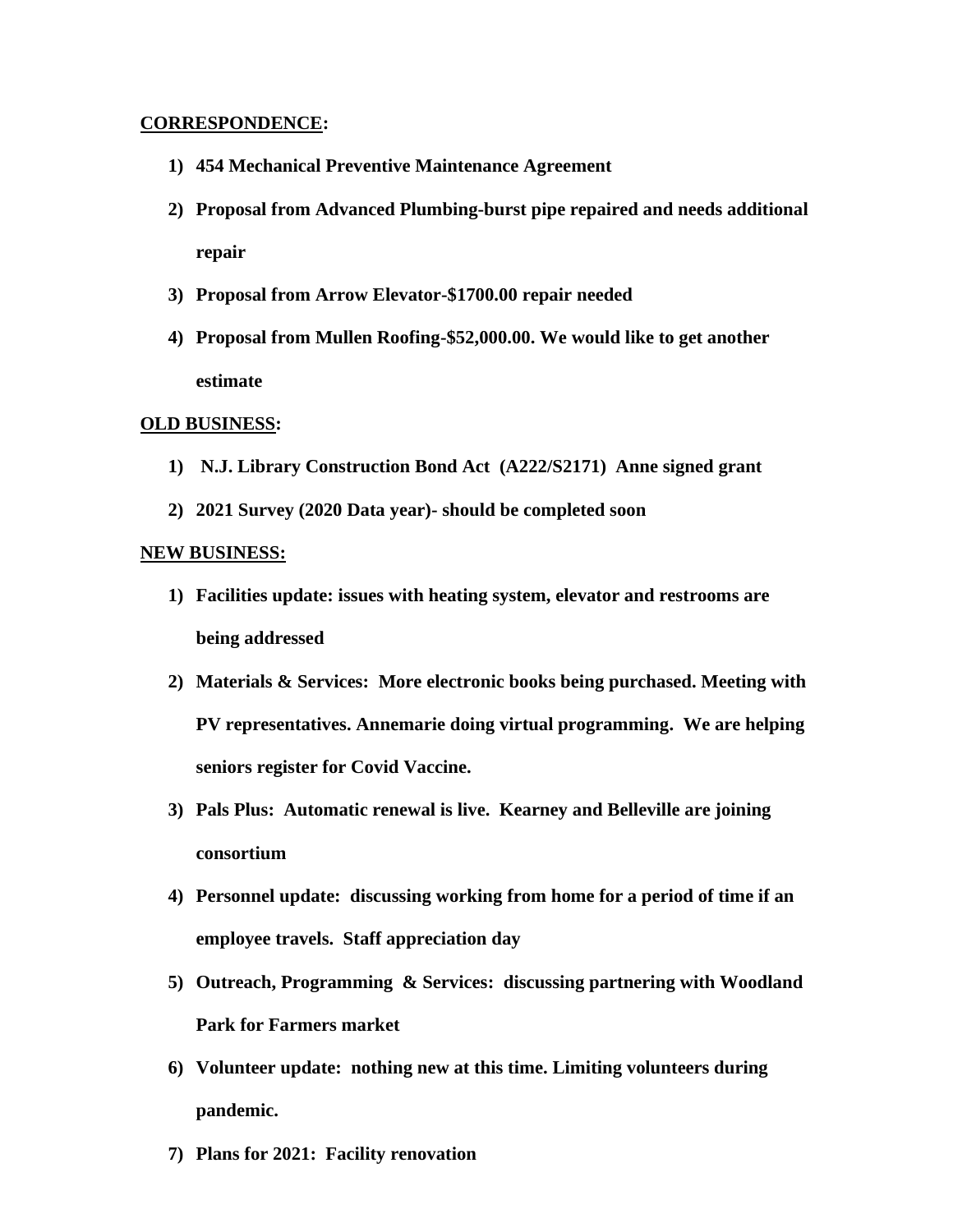#### **CORRESPONDENCE:**

- **1) 454 Mechanical Preventive Maintenance Agreement**
- **2) Proposal from Advanced Plumbing-burst pipe repaired and needs additional repair**
- **3) Proposal from Arrow Elevator-\$1700.00 repair needed**
- **4) Proposal from Mullen Roofing-\$52,000.00. We would like to get another estimate**

#### **OLD BUSINESS:**

- **1) N.J. Library Construction Bond Act (A222/S2171) Anne signed grant**
- **2) 2021 Survey (2020 Data year)- should be completed soon**

#### **NEW BUSINESS:**

- **1) Facilities update: issues with heating system, elevator and restrooms are being addressed**
- **2) Materials & Services: More electronic books being purchased. Meeting with PV representatives. Annemarie doing virtual programming. We are helping seniors register for Covid Vaccine.**
- **3) Pals Plus: Automatic renewal is live. Kearney and Belleville are joining consortium**
- **4) Personnel update: discussing working from home for a period of time if an employee travels. Staff appreciation day**
- **5) Outreach, Programming & Services: discussing partnering with Woodland Park for Farmers market**
- **6) Volunteer update: nothing new at this time. Limiting volunteers during pandemic.**
- **7) Plans for 2021: Facility renovation**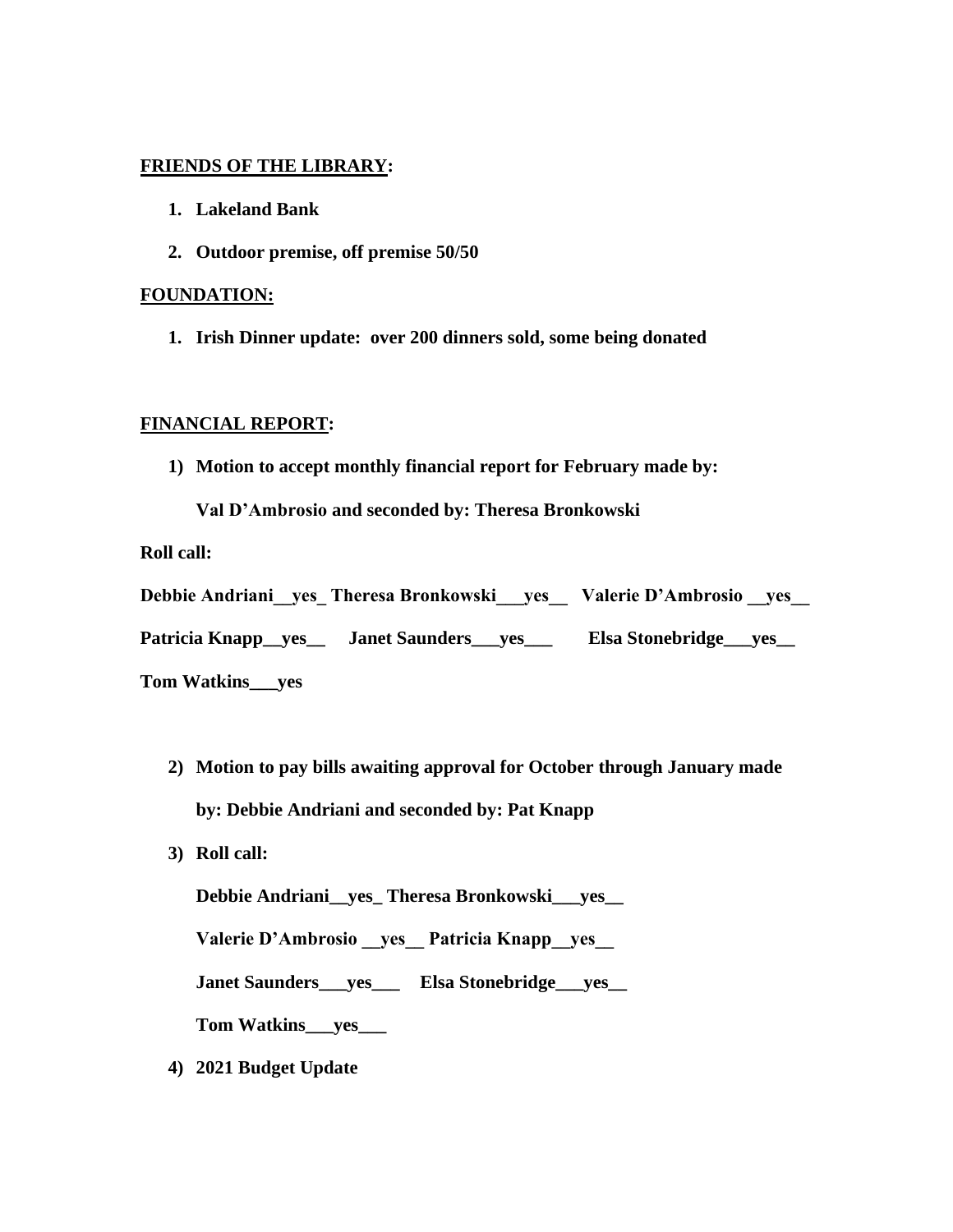### **FRIENDS OF THE LIBRARY:**

- **1. Lakeland Bank**
- **2. Outdoor premise, off premise 50/50**

#### **FOUNDATION:**

**1. Irish Dinner update: over 200 dinners sold, some being donated**

### **FINANCIAL REPORT:**

**1) Motion to accept monthly financial report for February made by:** 

**Val D'Ambrosio and seconded by: Theresa Bronkowski**

**Roll call:**

|                            | Debbie Andriani yes Theresa Bronkowski yes | Valerie D'Ambrosio yes       |
|----------------------------|--------------------------------------------|------------------------------|
|                            | Patricia Knapp_yes_ Janet Saunders_yes__   | Elsa Stonebridge_____ yes___ |
| Tom Wotking<br><b>TIOC</b> |                                            |                              |

- **Tom Watkins\_\_\_yes**
	- **2) Motion to pay bills awaiting approval for October through January made by: Debbie Andriani and seconded by: Pat Knapp**
	- **3) Roll call:**

**Debbie Andriani\_\_yes\_ Theresa Bronkowski\_\_\_yes\_\_** 

**Valerie D'Ambrosio \_\_yes\_\_ Patricia Knapp\_\_yes\_\_** 

**Janet Saunders\_\_\_yes\_\_\_ Elsa Stonebridge\_\_\_yes\_\_**

**Tom Watkins\_\_\_yes\_\_\_**

**4) 2021 Budget Update**